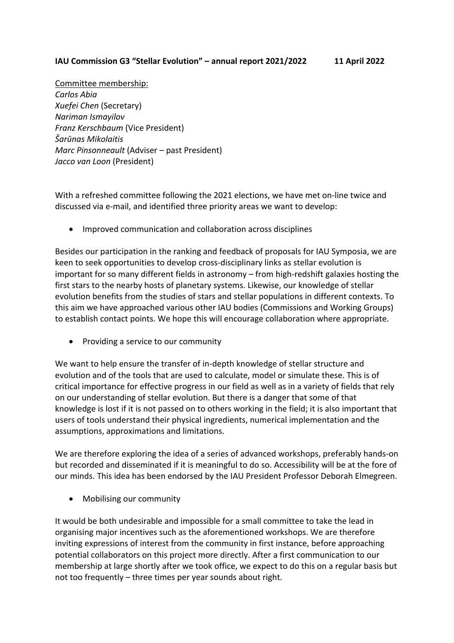## **IAU Commission G3 "Stellar Evolution" – annual report 2021/2022 11 April 2022**

Committee membership: *Carlos Abia Xuefei Chen* (Secretary) *Nariman Ismayilov Franz Kerschbaum* (Vice President) *Šarūnas Mikolaitis Marc Pinsonneault* (Adviser – past President) *Jacco van Loon* (President)

With a refreshed committee following the 2021 elections, we have met on-line twice and discussed via e-mail, and identified three priority areas we want to develop:

• Improved communication and collaboration across disciplines

Besides our participation in the ranking and feedback of proposals for IAU Symposia, we are keen to seek opportunities to develop cross-disciplinary links as stellar evolution is important for so many different fields in astronomy – from high-redshift galaxies hosting the first stars to the nearby hosts of planetary systems. Likewise, our knowledge of stellar evolution benefits from the studies of stars and stellar populations in different contexts. To this aim we have approached various other IAU bodies (Commissions and Working Groups) to establish contact points. We hope this will encourage collaboration where appropriate.

• Providing a service to our community

We want to help ensure the transfer of in-depth knowledge of stellar structure and evolution and of the tools that are used to calculate, model or simulate these. This is of critical importance for effective progress in our field as well as in a variety of fields that rely on our understanding of stellar evolution. But there is a danger that some of that knowledge is lost if it is not passed on to others working in the field; it is also important that users of tools understand their physical ingredients, numerical implementation and the assumptions, approximations and limitations.

We are therefore exploring the idea of a series of advanced workshops, preferably hands-on but recorded and disseminated if it is meaningful to do so. Accessibility will be at the fore of our minds. This idea has been endorsed by the IAU President Professor Deborah Elmegreen.

• Mobilising our community

It would be both undesirable and impossible for a small committee to take the lead in organising major incentives such as the aforementioned workshops. We are therefore inviting expressions of interest from the community in first instance, before approaching potential collaborators on this project more directly. After a first communication to our membership at large shortly after we took office, we expect to do this on a regular basis but not too frequently – three times per year sounds about right.